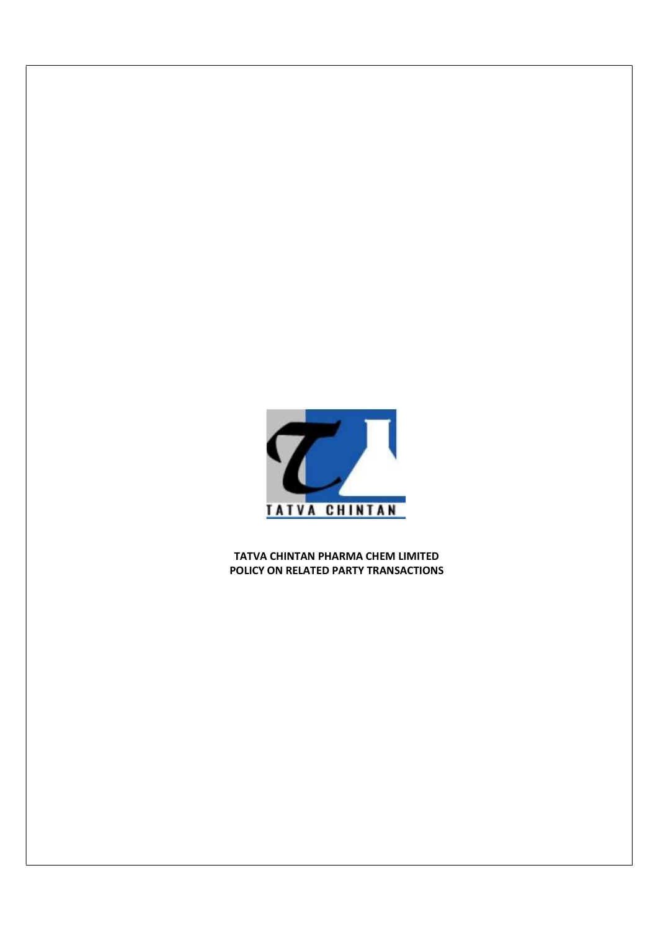

TATVA CHINTAN PHARMA CHEM LIMITED POLICY ON RELATED PARTY TRANSACTIONS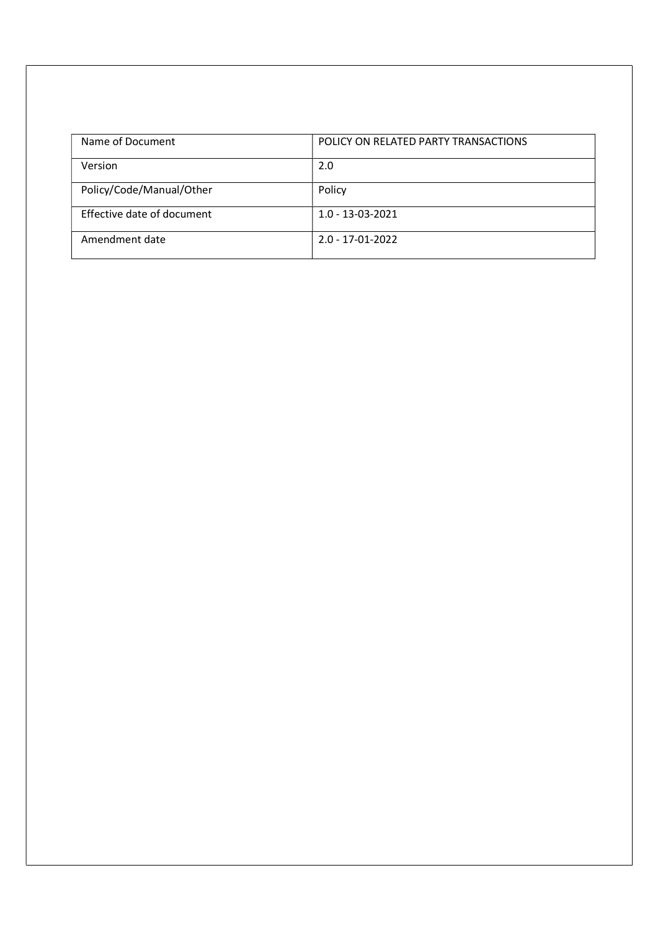| Name of Document           | POLICY ON RELATED PARTY TRANSACTIONS |
|----------------------------|--------------------------------------|
| Version                    | 2.0                                  |
| Policy/Code/Manual/Other   | Policy                               |
| Effective date of document | $1.0 - 13 - 03 - 2021$               |
| Amendment date             | $2.0 - 17 - 01 - 2022$               |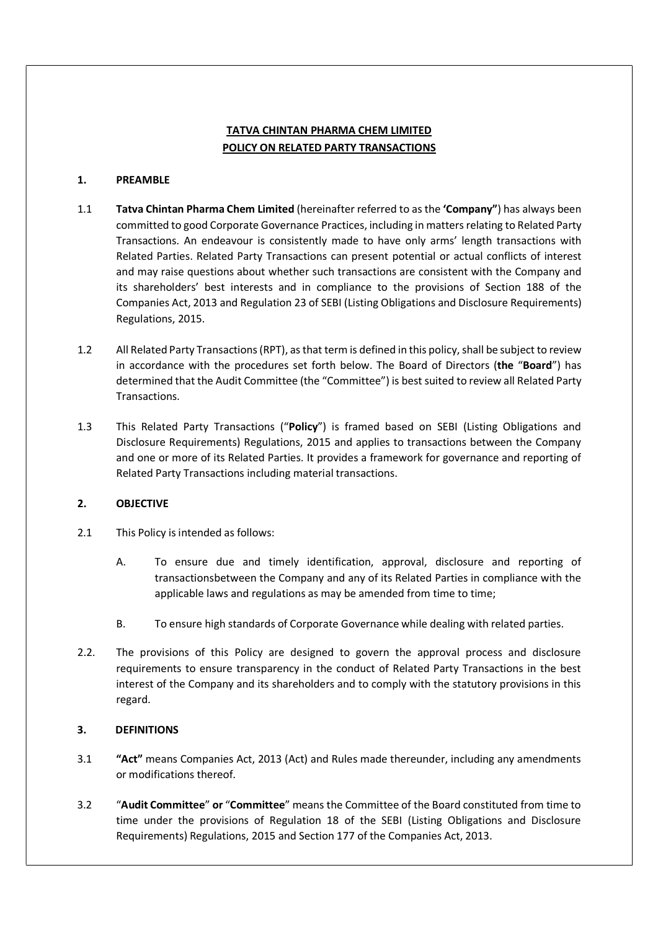# TATVA CHINTAN PHARMA CHEM LIMITED POLICY ON RELATED PARTY TRANSACTIONS

### 1. PREAMBLE

- 1.1 Tatva Chintan Pharma Chem Limited (hereinafter referred to as the 'Company") has always been committed to good Corporate Governance Practices, including in matters relating to Related Party Transactions. An endeavour is consistently made to have only arms' length transactions with Related Parties. Related Party Transactions can present potential or actual conflicts of interest and may raise questions about whether such transactions are consistent with the Company and its shareholders' best interests and in compliance to the provisions of Section 188 of the Companies Act, 2013 and Regulation 23 of SEBI (Listing Obligations and Disclosure Requirements) Regulations, 2015.
- 1.2 All Related Party Transactions (RPT), as that term is defined in this policy, shall be subject to review in accordance with the procedures set forth below. The Board of Directors (the "Board") has determined that the Audit Committee (the "Committee") is best suited to review all Related Party Transactions.
- 1.3 This Related Party Transactions ("Policy") is framed based on SEBI (Listing Obligations and Disclosure Requirements) Regulations, 2015 and applies to transactions between the Company and one or more of its Related Parties. It provides a framework for governance and reporting of Related Party Transactions including material transactions.

### 2. OBJECTIVE

- 2.1 This Policy is intended as follows:
	- A. To ensure due and timely identification, approval, disclosure and reporting of transactions between the Company and any of its Related Parties in compliance with the applicable laws and regulations as may be amended from time to time;
	- B. To ensure high standards of Corporate Governance while dealing with related parties.
- 2.2. The provisions of this Policy are designed to govern the approval process and disclosure requirements to ensure transparency in the conduct of Related Party Transactions in the best interest of the Company and its shareholders and to comply with the statutory provisions in this regard.

### 3. DEFINITIONS

- 3.1 "Act" means Companies Act, 2013 (Act) and Rules made thereunder, including any amendments or modifications thereof.
- 3.2 "Audit Committee" or "Committee" means the Committee of the Board constituted from time to time under the provisions of Regulation 18 of the SEBI (Listing Obligations and Disclosure Requirements) Regulations, 2015 and Section 177 of the Companies Act, 2013.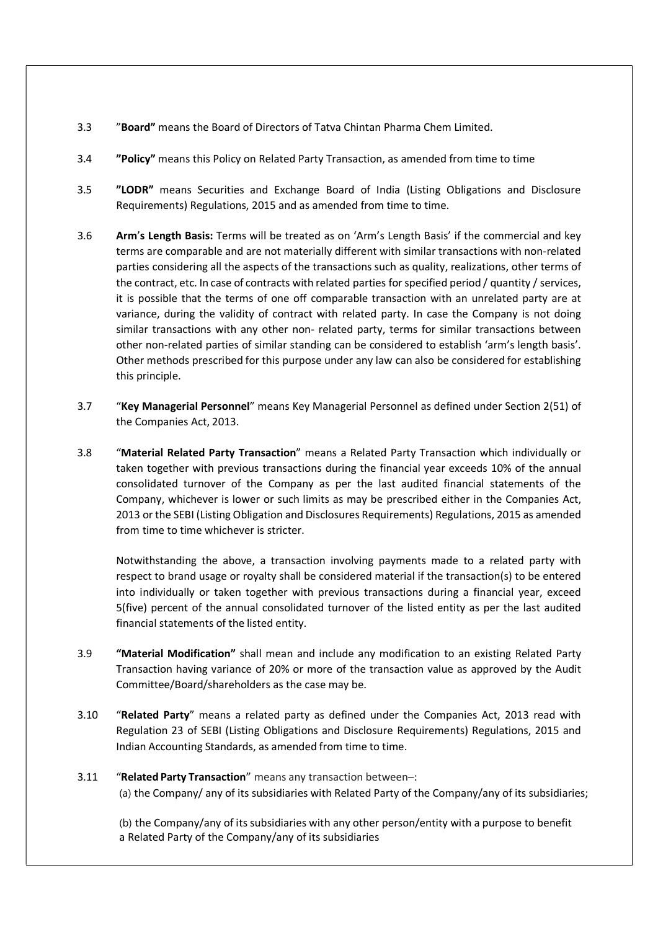- 3.3 "Board" means the Board of Directors of Tatva Chintan Pharma Chem Limited.
- 3.4 "Policy" means this Policy on Related Party Transaction, as amended from time to time
- 3.5 "LODR" means Securities and Exchange Board of India (Listing Obligations and Disclosure Requirements) Regulations, 2015 and as amended from time to time.
- 3.6 Arm's Length Basis: Terms will be treated as on 'Arm's Length Basis' if the commercial and key terms are comparable and are not materially different with similar transactions with non-related parties considering all the aspects of the transactions such as quality, realizations, other terms of the contract, etc. In case of contracts with related parties for specified period / quantity / services, it is possible that the terms of one off comparable transaction with an unrelated party are at variance, during the validity of contract with related party. In case the Company is not doing similar transactions with any other non- related party, terms for similar transactions between other non-related parties of similar standing can be considered to establish 'arm's length basis'. Other methods prescribed for this purpose under any law can also be considered for establishing this principle.
- 3.7 "Key Managerial Personnel" means Key Managerial Personnel as defined under Section 2(51) of the Companies Act, 2013.
- 3.8 "Material Related Party Transaction" means a Related Party Transaction which individually or taken together with previous transactions during the financial year exceeds 10% of the annual consolidated turnover of the Company as per the last audited financial statements of the Company, whichever is lower or such limits as may be prescribed either in the Companies Act, 2013 or the SEBI (Listing Obligation and Disclosures Requirements) Regulations, 2015 as amended from time to time whichever is stricter.

Notwithstanding the above, a transaction involving payments made to a related party with respect to brand usage or royalty shall be considered material if the transaction(s) to be entered into individually or taken together with previous transactions during a financial year, exceed 5(five) percent of the annual consolidated turnover of the listed entity as per the last audited financial statements of the listed entity.

- 3.9 "Material Modification" shall mean and include any modification to an existing Related Party Transaction having variance of 20% or more of the transaction value as approved by the Audit Committee/Board/shareholders as the case may be.
- 3.10 "Related Party" means a related party as defined under the Companies Act, 2013 read with Regulation 23 of SEBI (Listing Obligations and Disclosure Requirements) Regulations, 2015 and Indian Accounting Standards, as amended from time to time.

# 3.11 "Related Party Transaction" means any transaction between-: (a) the Company/ any of its subsidiaries with Related Party of the Company/any of its subsidiaries;

(b) the Company/any of its subsidiaries with any other person/entity with a purpose to benefit a Related Party of the Company/any of its subsidiaries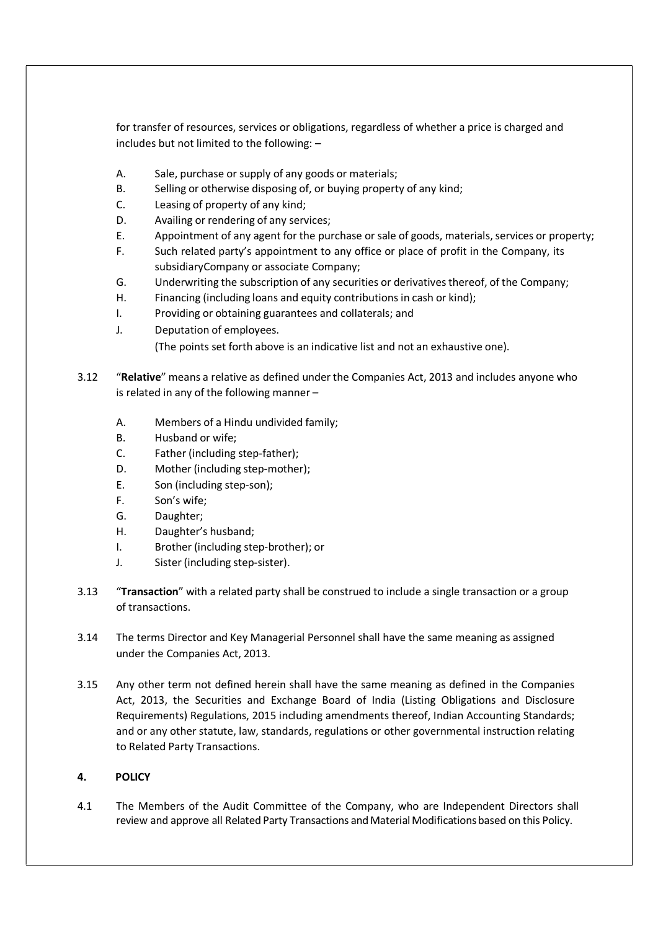for transfer of resources, services or obligations, regardless of whether a price is charged and includes but not limited to the following: –

- A. Sale, purchase or supply of any goods or materials;
- B. Selling or otherwise disposing of, or buying property of any kind;
- C. Leasing of property of any kind;
- D. Availing or rendering of any services;
- E. Appointment of any agent for the purchase or sale of goods, materials, services or property;
- F. Such related party's appointment to any office or place of profit in the Company, its subsidiary Company or associate Company;
- G. Underwriting the subscription of any securities or derivatives thereof, of the Company;
- H. Financing (including loans and equity contributions in cash or kind);
- I. Providing or obtaining guarantees and collaterals; and
- J. Deputation of employees.

(The points set forth above is an indicative list and not an exhaustive one).

- 3.12 "Relative" means a relative as defined under the Companies Act, 2013 and includes anyone who is related in any of the following manner –
	- A. Members of a Hindu undivided family;
	- B. Husband or wife;
	- C. Father (including step-father);
	- D. Mother (including step-mother);
	- E. Son (including step-son);
	- F. Son's wife;
	- G. Daughter;
	- H. Daughter's husband;
	- I. Brother (including step-brother); or
	- J. Sister (including step-sister).
- 3.13 "Transaction" with a related party shall be construed to include a single transaction or a group of transactions.
- 3.14 The terms Director and Key Managerial Personnel shall have the same meaning as assigned under the Companies Act, 2013.
- 3.15 Any other term not defined herein shall have the same meaning as defined in the Companies Act, 2013, the Securities and Exchange Board of India (Listing Obligations and Disclosure Requirements) Regulations, 2015 including amendments thereof, Indian Accounting Standards; and or any other statute, law, standards, regulations or other governmental instruction relating to Related Party Transactions.

### 4. POLICY

4.1 The Members of the Audit Committee of the Company, who are Independent Directors shall review and approve all Related Party Transactions and Material Modifications based on this Policy.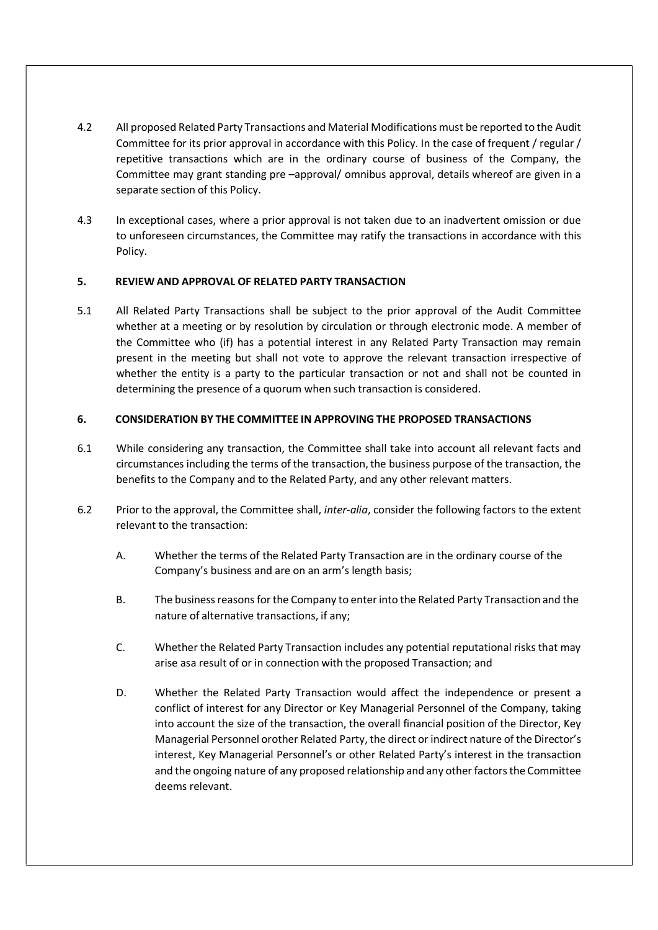- 4.2 All proposed Related Party Transactions and Material Modifications must be reported to the Audit Committee for its prior approval in accordance with this Policy. In the case of frequent / regular / repetitive transactions which are in the ordinary course of business of the Company, the Committee may grant standing pre –approval/ omnibus approval, details whereof are given in a separate section of this Policy.
- 4.3 In exceptional cases, where a prior approval is not taken due to an inadvertent omission or due to unforeseen circumstances, the Committee may ratify the transactions in accordance with this Policy.

### 5. REVIEW AND APPROVAL OF RELATED PARTY TRANSACTION

5.1 All Related Party Transactions shall be subject to the prior approval of the Audit Committee whether at a meeting or by resolution by circulation or through electronic mode. A member of the Committee who (if) has a potential interest in any Related Party Transaction may remain present in the meeting but shall not vote to approve the relevant transaction irrespective of whether the entity is a party to the particular transaction or not and shall not be counted in determining the presence of a quorum when such transaction is considered.

## 6. CONSIDERATION BY THE COMMITTEE IN APPROVING THE PROPOSED TRANSACTIONS

- 6.1 While considering any transaction, the Committee shall take into account all relevant facts and circumstances including the terms of the transaction, the business purpose of the transaction, the benefits to the Company and to the Related Party, and any other relevant matters.
- 6.2 Prior to the approval, the Committee shall, inter-alia, consider the following factors to the extent relevant to the transaction:
	- A. Whether the terms of the Related Party Transaction are in the ordinary course of the Company's business and are on an arm's length basis;
	- B. The business reasons for the Company to enter into the Related Party Transaction and the nature of alternative transactions, if any;
	- C. Whether the Related Party Transaction includes any potential reputational risks that may arise as a result of or in connection with the proposed Transaction; and
	- D. Whether the Related Party Transaction would affect the independence or present a conflict of interest for any Director or Key Managerial Personnel of the Company, taking into account the size of the transaction, the overall financial position of the Director, Key Managerial Personnel or other Related Party, the direct or indirect nature of the Director's interest, Key Managerial Personnel's or other Related Party's interest in the transaction and the ongoing nature of any proposed relationship and any other factors the Committee deems relevant.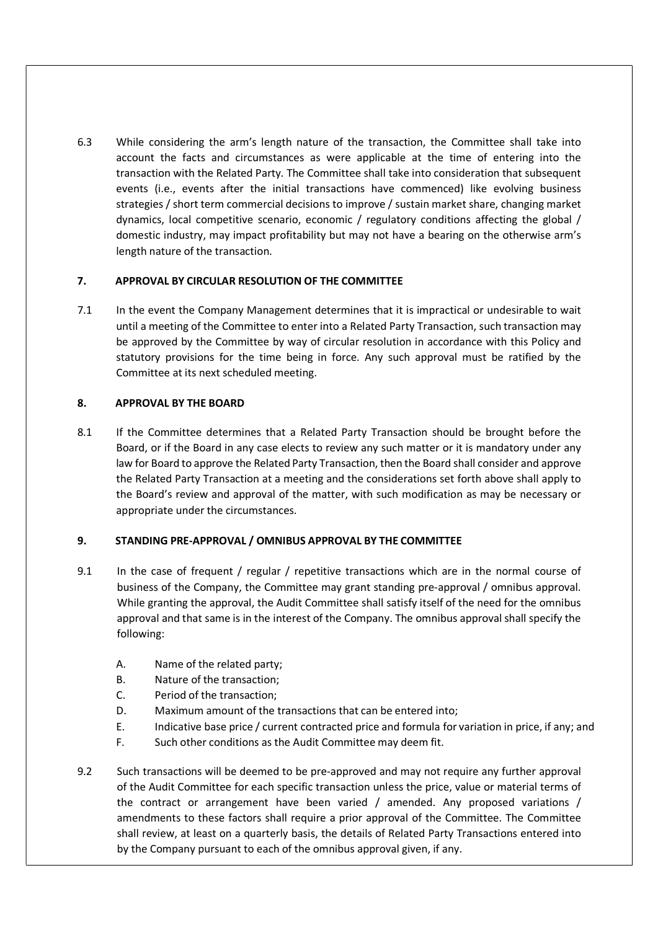6.3 While considering the arm's length nature of the transaction, the Committee shall take into account the facts and circumstances as were applicable at the time of entering into the transaction with the Related Party. The Committee shall take into consideration that subsequent events (i.e., events after the initial transactions have commenced) like evolving business strategies / short term commercial decisions to improve / sustain market share, changing market dynamics, local competitive scenario, economic / regulatory conditions affecting the global / domestic industry, may impact profitability but may not have a bearing on the otherwise arm's length nature of the transaction.

# 7. APPROVAL BY CIRCULAR RESOLUTION OF THE COMMITTEE

7.1 In the event the Company Management determines that it is impractical or undesirable to wait until a meeting of the Committee to enter into a Related Party Transaction, such transaction may be approved by the Committee by way of circular resolution in accordance with this Policy and statutory provisions for the time being in force. Any such approval must be ratified by the Committee at its next scheduled meeting.

## 8. APPROVAL BY THE BOARD

8.1 If the Committee determines that a Related Party Transaction should be brought before the Board, or if the Board in any case elects to review any such matter or it is mandatory under any law for Board to approve the Related Party Transaction, then the Board shall consider and approve the Related Party Transaction at a meeting and the considerations set forth above shall apply to the Board's review and approval of the matter, with such modification as may be necessary or appropriate under the circumstances.

# 9. STANDING PRE-APPROVAL / OMNIBUS APPROVAL BY THE COMMITTEE

- 9.1 In the case of frequent / regular / repetitive transactions which are in the normal course of business of the Company, the Committee may grant standing pre-approval / omnibus approval. While granting the approval, the Audit Committee shall satisfy itself of the need for the omnibus approval and that same is in the interest of the Company. The omnibus approval shall specify the following:
	- A. Name of the related party;
	- B. Nature of the transaction;
	- C. Period of the transaction;
	- D. Maximum amount of the transactions that can be entered into;
	- E. Indicative base price / current contracted price and formula for variation in price, if any; and
	- F. Such other conditions as the Audit Committee may deem fit.
- 9.2 Such transactions will be deemed to be pre-approved and may not require any further approval of the Audit Committee for each specific transaction unless the price, value or material terms of the contract or arrangement have been varied / amended. Any proposed variations / amendments to these factors shall require a prior approval of the Committee. The Committee shall review, at least on a quarterly basis, the details of Related Party Transactions entered into by the Company pursuant to each of the omnibus approval given, if any.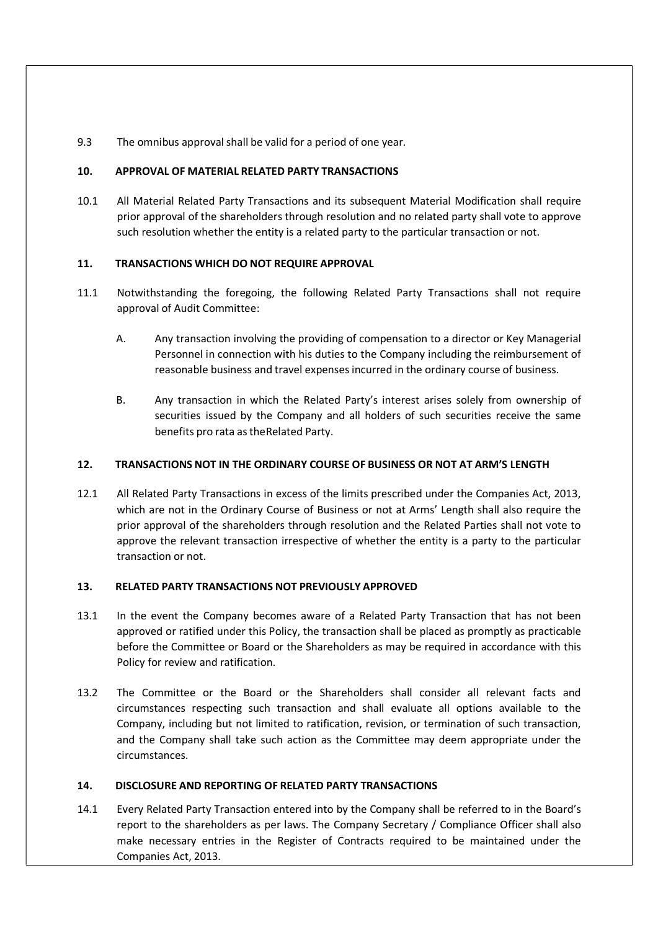9.3 The omnibus approval shall be valid for a period of one year.

### 10. APPROVAL OF MATERIAL RELATED PARTY TRANSACTIONS

10.1 All Material Related Party Transactions and its subsequent Material Modification shall require prior approval of the shareholders through resolution and no related party shall vote to approve such resolution whether the entity is a related party to the particular transaction or not.

## 11. TRANSACTIONS WHICH DO NOT REQUIRE APPROVAL

- 11.1 Notwithstanding the foregoing, the following Related Party Transactions shall not require approval of Audit Committee:
	- A. Any transaction involving the providing of compensation to a director or Key Managerial Personnel in connection with his duties to the Company including the reimbursement of reasonable business and travel expenses incurred in the ordinary course of business.
	- B. Any transaction in which the Related Party's interest arises solely from ownership of securities issued by the Company and all holders of such securities receive the same benefits pro rata as the Related Party.

### 12. TRANSACTIONS NOT IN THE ORDINARY COURSE OF BUSINESS OR NOT AT ARM'S LENGTH

12.1 All Related Party Transactions in excess of the limits prescribed under the Companies Act, 2013, which are not in the Ordinary Course of Business or not at Arms' Length shall also require the prior approval of the shareholders through resolution and the Related Parties shall not vote to approve the relevant transaction irrespective of whether the entity is a party to the particular transaction or not.

### 13. RELATED PARTY TRANSACTIONS NOT PREVIOUSLY APPROVED

- 13.1 In the event the Company becomes aware of a Related Party Transaction that has not been approved or ratified under this Policy, the transaction shall be placed as promptly as practicable before the Committee or Board or the Shareholders as may be required in accordance with this Policy for review and ratification.
- 13.2 The Committee or the Board or the Shareholders shall consider all relevant facts and circumstances respecting such transaction and shall evaluate all options available to the Company, including but not limited to ratification, revision, or termination of such transaction, and the Company shall take such action as the Committee may deem appropriate under the circumstances.

### 14. DISCLOSURE AND REPORTING OF RELATED PARTY TRANSACTIONS

14.1 Every Related Party Transaction entered into by the Company shall be referred to in the Board's report to the shareholders as per laws. The Company Secretary / Compliance Officer shall also make necessary entries in the Register of Contracts required to be maintained under the Companies Act, 2013.